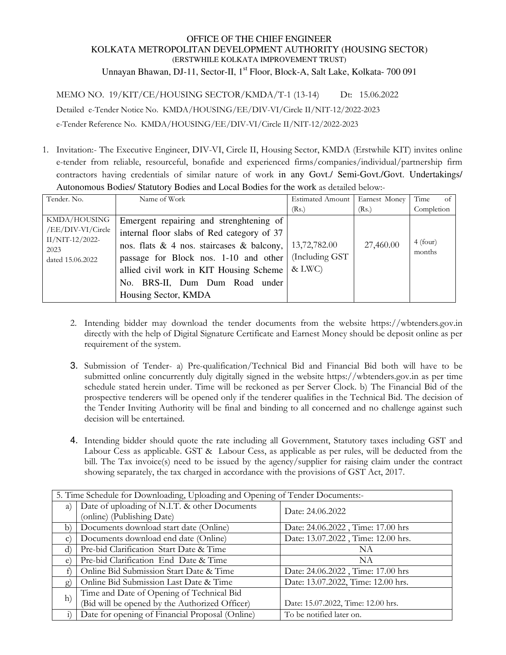## OFFICE OF THE CHIEF ENGINEER KOLKATA METROPOLITAN DEVELOPMENT AUTHORITY (HOUSING SECTOR) (ERSTWHILE KOLKATA IMPROVEMENT TRUST)

Unnayan Bhawan, DJ-11, Sector-II, 1<sup>st</sup> Floor, Block-A, Salt Lake, Kolkata- 700 091

MEMO NO. 19/KIT/CE/HOUSING SECTOR/KMDA/T-1 (13-14) Dt: 15.06.2022

Detailed e-Tender Notice No. KMDA/HOUSING/EE/DIV-VI/Circle II/NIT-12/2022-2023

e-Tender Reference No. KMDA/HOUSING/EE/DIV-VI/Circle II/NIT-12/2022-2023

1. Invitation:- The Executive Engineer, DIV-VI, Circle II, Housing Sector, KMDA (Erstwhile KIT) invites online e-tender from reliable, resourceful, bonafide and experienced firms/companies/individual/partnership firm contractors having credentials of similar nature of work in any Govt./ Semi-Govt./Govt. Undertakings/ Autonomous Bodies/ Statutory Bodies and Local Bodies for the work as detailed below:-

| Tender. No.             | Name of Work                                    | <b>Estimated Amount</b> | Earnest Money | Time<br>of |
|-------------------------|-------------------------------------------------|-------------------------|---------------|------------|
|                         |                                                 | (Rs.)                   | (Rs.)         | Completion |
| KMDA/HOUSING            | Emergent repairing and strenghtening of         |                         |               |            |
| /EE/DIV-VI/Circle       | internal floor slabs of Red category of 37      |                         |               |            |
| II/NIT-12/2022-<br>2023 | nos. flats $\&$ 4 nos. staircases $\&$ balcony, | 13,72,782.00            | 27,460.00     | 4 (four)   |
| dated 15.06.2022        | passage for Block nos. 1-10 and other           | (Including GST)         |               | months     |
|                         | allied civil work in KIT Housing Scheme         | & LWC                   |               |            |
|                         | No. BRS-II, Dum Dum Road under                  |                         |               |            |
|                         | Housing Sector, KMDA                            |                         |               |            |

- 2. Intending bidder may download the tender documents from the website https://wbtenders.gov.in directly with the help of Digital Signature Certificate and Earnest Money should be deposit online as per requirement of the system.
- 3. Submission of Tender- a) Pre-qualification/Technical Bid and Financial Bid both will have to be submitted online concurrently duly digitally signed in the website https://wbtenders.gov.in as per time schedule stated herein under. Time will be reckoned as per Server Clock. b) The Financial Bid of the prospective tenderers will be opened only if the tenderer qualifies in the Technical Bid. The decision of the Tender Inviting Authority will be final and binding to all concerned and no challenge against such decision will be entertained.
- 4. Intending bidder should quote the rate including all Government, Statutory taxes including GST and Labour Cess as applicable. GST & Labour Cess, as applicable as per rules, will be deducted from the bill. The Tax invoice(s) need to be issued by the agency/supplier for raising claim under the contract showing separately, the tax charged in accordance with the provisions of GST Act, 2017.

| 5. Time Schedule for Downloading, Uploading and Opening of Tender Documents:- |                                                 |                                    |  |
|-------------------------------------------------------------------------------|-------------------------------------------------|------------------------------------|--|
| a)                                                                            | Date of uploading of N.I.T. & other Documents   | Date: 24.06.2022                   |  |
|                                                                               | (online) (Publishing Date)                      |                                    |  |
| b)                                                                            | Documents download start date (Online)          | Date: 24.06.2022, Time: 17.00 hrs  |  |
| $\mathbf{C}$                                                                  | Documents download end date (Online)            | Date: 13.07.2022, Time: 12.00 hrs. |  |
| $\rm d$                                                                       | Pre-bid Clarification Start Date & Time         | NA                                 |  |
| $\epsilon$                                                                    | Pre-bid Clarification End Date & Time           | NA                                 |  |
| f                                                                             | Online Bid Submission Start Date & Time         | Date: 24.06.2022, Time: 17.00 hrs  |  |
| $\mathbf{g}$                                                                  | Online Bid Submission Last Date & Time          | Date: 13.07.2022, Time: 12.00 hrs. |  |
|                                                                               | Time and Date of Opening of Technical Bid       |                                    |  |
| h)                                                                            | (Bid will be opened by the Authorized Officer)  | Date: 15.07.2022, Time: 12.00 hrs. |  |
|                                                                               | Date for opening of Financial Proposal (Online) | To be notified later on.           |  |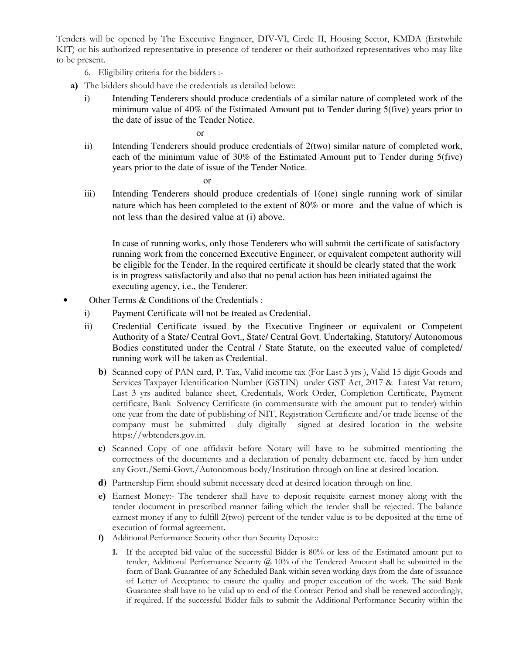Tenders will be opened by The Executive Engineer, DIV-VI, Circle II, Housing Sector, KMDA (Erstwhile KIT) or his authorized representative in presence of tenderer or their authorized representatives who may like to be present.

- 6. Eligibility criteria for the bidders :-
- **a)** The bidders should have the credentials as detailed below::
	- i) Intending Tenderers should produce credentials of a similar nature of completed work of the minimum value of 40% of the Estimated Amount put to Tender during 5(five) years prior to the date of issue of the Tender Notice.

or

ii) Intending Tenderers should produce credentials of 2(two) similar nature of completed work, each of the minimum value of 30% of the Estimated Amount put to Tender during 5(five) years prior to the date of issue of the Tender Notice.

or

iii) Intending Tenderers should produce credentials of 1(one) single running work of similar nature which has been completed to the extent of 80% or more and the value of which is not less than the desired value at (i) above.

In case of running works, only those Tenderers who will submit the certificate of satisfactory running work from the concerned Executive Engineer, or equivalent competent authority will be eligible for the Tender. In the required certificate it should be clearly stated that the work is in progress satisfactorily and also that no penal action has been initiated against the executing agency, i.e., the Tenderer.

- Other Terms & Conditions of the Credentials :
	- i) Payment Certificate will not be treated as Credential.
	- ii) Credential Certificate issued by the Executive Engineer or equivalent or Competent Authority of a State/ Central Govt., State/ Central Govt. Undertaking, Statutory/ Autonomous Bodies constituted under the Central / State Statute, on the executed value of completed/ running work will be taken as Credential.
		- **b)** Scanned copy of PAN card, P. Tax, Valid income tax (For Last 3 yrs ), Valid 15 digit Goods and Services Taxpayer Identification Number (GSTIN) under GST Act, 2017 & Latest Vat return, Last 3 yrs audited balance sheet, Credentials, Work Order, Completion Certificate, Payment certificate, Bank Solvency Certificate (in commensurate with the amount put to tender) within one year from the date of publishing of NIT, Registration Certificate and/or trade license of the company must be submitted duly digitally signed at desired location in the website https://wbtenders.gov.in.
		- **c)** Scanned Copy of one affidavit before Notary will have to be submitted mentioning the correctness of the documents and a declaration of penalty debarment etc. faced by him under any Govt./Semi-Govt./Autonomous body/Institution through on line at desired location.
		- **d)** Partnership Firm should submit necessary deed at desired location through on line.
		- **e)** Earnest Money:- The tenderer shall have to deposit requisite earnest money along with the tender document in prescribed manner failing which the tender shall be rejected. The balance earnest money if any to fulfill 2(two) percent of the tender value is to be deposited at the time of execution of formal agreement.
		- **f)** Additional Performance Security other than Security Deposit::
			- **1.** If the accepted bid value of the successful Bidder is 80% or less of the Estimated amount put to tender, Additional Performance Security  $\omega$  10% of the Tendered Amount shall be submitted in the form of Bank Guarantee of any Scheduled Bank within seven working days from the date of issuance of Letter of Acceptance to ensure the quality and proper execution of the work. The said Bank Guarantee shall have to be valid up to end of the Contract Period and shall be renewed accordingly, if required. If the successful Bidder fails to submit the Additional Performance Security within the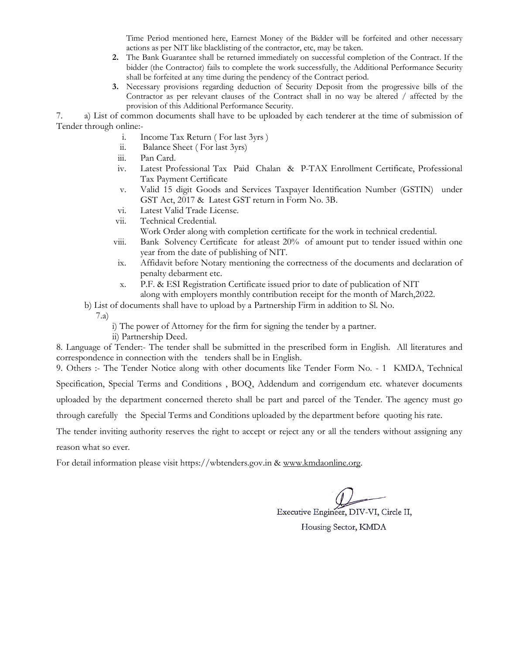Time Period mentioned here, Earnest Money of the Bidder will be forfeited and other necessary actions as per NIT like blacklisting of the contractor, etc, may be taken.

- **2.** The Bank Guarantee shall be returned immediately on successful completion of the Contract. If the bidder (the Contractor) fails to complete the work successfully, the Additional Performance Security shall be forfeited at any time during the pendency of the Contract period.
- **3.** Necessary provisions regarding deduction of Security Deposit from the progressive bills of the Contractor as per relevant clauses of the Contract shall in no way be altered / affected by the provision of this Additional Performance Security.

7. a) List of common documents shall have to be uploaded by each tenderer at the time of submission of Tender through online:-

- i. Income Tax Return ( For last 3yrs )
- ii. Balance Sheet ( For last 3yrs)
- iii. Pan Card.
- iv. Latest Professional Tax Paid Chalan & P-TAX Enrollment Certificate, Professional Tax Payment Certificate
- v. Valid 15 digit Goods and Services Taxpayer Identification Number (GSTIN) under GST Act, 2017 & Latest GST return in Form No. 3B.
- vi. Latest Valid Trade License.
- vii. Technical Credential.
	- Work Order along with completion certificate for the work in technical credential.
- viii. Bank Solvency Certificate for atleast 20% of amount put to tender issued within one year from the date of publishing of NIT.
- ix. Affidavit before Notary mentioning the correctness of the documents and declaration of penalty debarment etc.
- x. P.F. & ESI Registration Certificate issued prior to date of publication of NIT along with employers monthly contribution receipt for the month of March,2022.
- b) List of documents shall have to upload by a Partnership Firm in addition to Sl. No.
	- 7.a)
- i) The power of Attorney for the firm for signing the tender by a partner.
- ii) Partnership Deed.

8. Language of Tender:- The tender shall be submitted in the prescribed form in English. All literatures and correspondence in connection with the tenders shall be in English.

9. Others :- The Tender Notice along with other documents like Tender Form No. - 1 KMDA, Technical Specification, Special Terms and Conditions , BOQ, Addendum and corrigendum etc. whatever documents

uploaded by the department concerned thereto shall be part and parcel of the Tender. The agency must go

through carefully the Special Terms and Conditions uploaded by the department before quoting his rate.

The tender inviting authority reserves the right to accept or reject any or all the tenders without assigning any reason what so ever.

For detail information please visit https://wbtenders.gov.in & www.kmdaonline.org.

Executive Engineer, DIV-VI, Circle II,

Housing Sector, KMDA